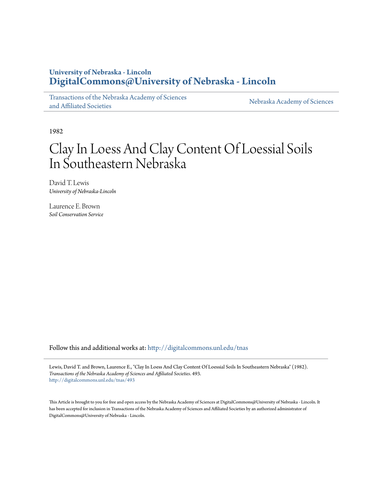# **University of Nebraska - Lincoln [DigitalCommons@University of Nebraska - Lincoln](http://digitalcommons.unl.edu?utm_source=digitalcommons.unl.edu%2Ftnas%2F493&utm_medium=PDF&utm_campaign=PDFCoverPages)**

[Transactions of the Nebraska Academy of Sciences](http://digitalcommons.unl.edu/tnas?utm_source=digitalcommons.unl.edu%2Ftnas%2F493&utm_medium=PDF&utm_campaign=PDFCoverPages) [and Affiliated Societies](http://digitalcommons.unl.edu/tnas?utm_source=digitalcommons.unl.edu%2Ftnas%2F493&utm_medium=PDF&utm_campaign=PDFCoverPages)

[Nebraska Academy of Sciences](http://digitalcommons.unl.edu/nebacadsci?utm_source=digitalcommons.unl.edu%2Ftnas%2F493&utm_medium=PDF&utm_campaign=PDFCoverPages)

1982

# Clay In Loess And Clay Content Of Loessial Soils In Southeastern Nebraska

David T. Lewis *University of Nebraska-Lincoln*

Laurence E. Brown *Soil Conservation Service*

Follow this and additional works at: [http://digitalcommons.unl.edu/tnas](http://digitalcommons.unl.edu/tnas?utm_source=digitalcommons.unl.edu%2Ftnas%2F493&utm_medium=PDF&utm_campaign=PDFCoverPages)

Lewis, David T. and Brown, Laurence E., "Clay In Loess And Clay Content Of Loessial Soils In Southeastern Nebraska" (1982). *Transactions of the Nebraska Academy of Sciences and Affiliated Societies*. 493. [http://digitalcommons.unl.edu/tnas/493](http://digitalcommons.unl.edu/tnas/493?utm_source=digitalcommons.unl.edu%2Ftnas%2F493&utm_medium=PDF&utm_campaign=PDFCoverPages)

This Article is brought to you for free and open access by the Nebraska Academy of Sciences at DigitalCommons@University of Nebraska - Lincoln. It has been accepted for inclusion in Transactions of the Nebraska Academy of Sciences and Affiliated Societies by an authorized administrator of DigitalCommons@University of Nebraska - Lincoln.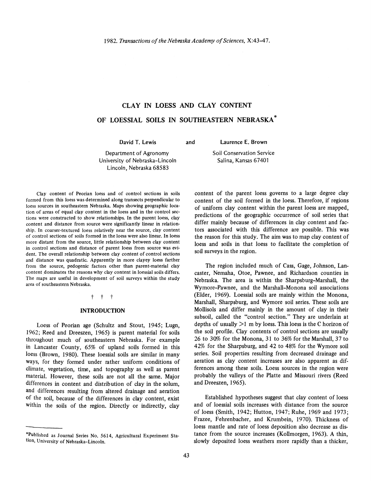# **CLAY IN LOESS AND CLAY CONTENT**

# **OF LOESSIAL SOILS IN SOUTHEASTERN NEBRASKA \***

David T. Lewis

and Laurence E. Brown

Department of Agronomy University of Nebraska-Lincoln Lincoln, Nebraska 68583

Soil Conservation Service Salina, Kansas 67401

Clay content of Peorian loess and of control sections in soils formed from this loess was determined along transects perpendicular to loess sources in southeastern Nebraska. Maps showing geographic location of areas of equal clay content in the loess and in the control sec· tions were constructed to show relationships. In the parent loess, clay content and distance from source were significantly linear in relationship. In coarser·textured loess relatively near the source, clay content of control sections of soils formed in the loess were also linear. In loess more distant from the source, little relationship between clay content in control sections and distance of parent loess from source was evident. The overall relationship between clay content of control sections and distance was quadratic. Apparently in more clayey loess farther from the source, pedogenic factors other than parent-material clay content dominates the reasons why clay content in loessial soils differs. The maps are useful in development of soil surveys within the study area of southeastern Nebraska.

#### t t t

### **INTRODUCTION**

Loess of Peorian age (Schultz and Stout, 1945; Lugn, 1962; Reed and Dreeszen, 1965) is parent material for soils throughout much of southeastern Nebraska. For example in Lancaster County, 65% of upland soils formed in this loess (Brown, 1980). These loessial soils are similar in many ways, for they formed under rather uniform conditions of climate, vegetation, time, and topography as well as parent material. However, these soils are not all the same. Major differences in content and distribution of clay in the solum, and differences resulting from altered drainage and aeration of the soil, because of the differences in clay content, exist within the soils of the region. Directly or indirectly, clay

content of the parent loess governs to a large degree clay content of the soil formed in the loess. Therefore, if regions of uniform clay content within the parent loess are mapped, predictions of the geographic occurrence of soil series that differ mainly because of differences in clay content and factors associated with this difference are possible. This was the reason for this study. The aim was to map clay content of loess and soils in that loess to facilitate the completion of soil surveys in the region.

The region included much of Cass, Gage, Johnson, Lancaster, Nemaha, Otoe, Pawnee, and Richardson counties in Nebraska. The area is within the Sharpsburg-Marshall, the Wymore-Pawnee, and the Marshall-Monona soil associations (Elder, 1969). Loessial soils are mainly within the Monona, Marshall, Sharpsburg, and Wymore soil series. These soils are Mollisols and differ mainly in the amount of clay in their subsoil, called the "control section." They are underlain at depths of usually  $>1$  m by loess. This loess is the C horizon of the soil profile. Clay contents of control sections are usually 26 to 30% for the Monona, 31 to 36% for the Marshall, 37 to 42% for the Sharpsburg, and 42 to 48% for the Wymore soil series. Soil properties resulting from decreased drainage and aeration as clay content increases are also apparent as differences among these soils. Loess sources in the region were probably the valleys of the Platte and Missouri rivers (Reed and Dreeszen, 1965).

Established hypotheses suggest that clay content of loess and of loessial soils increases with distance from the source of loess (Smith, 1942; Hutton, 1947; Ruhe, 1969 and 1973; Frazee, Fehrenbacher, and Krumbein, 1970). Thickness of loess mantle and rate of loess deposition also decrease as distance from the source increases (Kollmorgen, 1963). A thin, slowly deposited loess weathers more rapidly than a thicker,

<sup>\*</sup>Published as Journal Series No. 5614, Agricultural Experiment Station, University of Nebraska-Lincoln.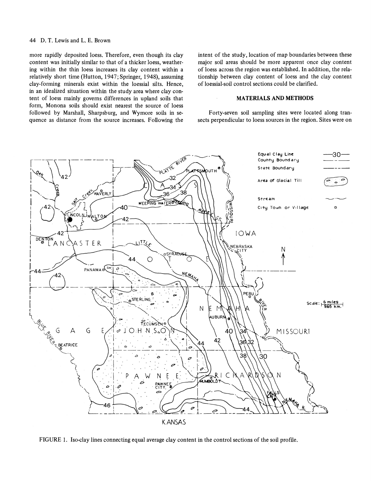#### 44 D. T. Lewis and L. E. Brown

more rapidly deposited loess. Therefore, even though its clay content was initially similar to that of a thicker loess, weathering within the thin loess increases its clay content within a relatively short time (Hutton, 1947; Springer, 1948), assuming clay-forming minerals exist within the loessial silts. Hence, in an idealized situation within the study area where clay content of loess mainly governs differences in upland soils that form, Monona soils should exist nearest the source of loess followed by Marshall, Sharpsburg, and Wymore soils in sequence as distance from the source increases. Following the intent of the study, location of map boundaries between these major soil areas should be more apparent once clay content of loess across the region was established. In addition, the relationship between clay content of loess and the clay content of loessial-soil control sections could be clarified.

#### **MATERIALS AND METHODS**

Forty-seven soil sampling sites were located along transects perpendicular to loess sources in the region. Sites were on



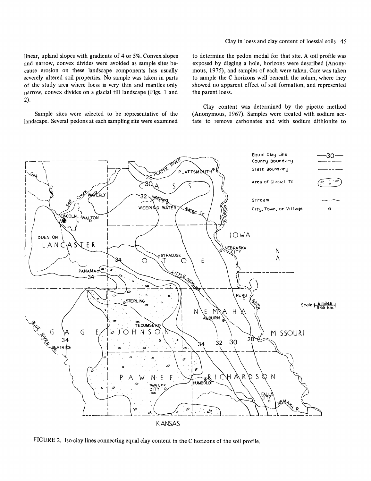linear, upland slopes with gradients of 4 or 5%. Convex slopes and narrow, convex divides were avoided as sample sites because erosion on these landscape components has usually severely altered soil properties. No sample was taken in parts of the study area where loess is very thin and mantles only narrow, convex divides on a glacial till landscape (Figs. 1 and 2).

Sample sites were selected to be representative of the landscape. Several pedons at each sampling site were examined Clay in loess and clay content of loessial soils 45

to determine the pedon modal for that site. A soil profile was exposed by digging a hole, horizons were described (Anonymous, 1975), and samples of each were taken. Care was taken to sample the C horizons well beneath the solum, where they showed no apparent effect of soil formation, and represented the parent loess.

Clay content was determined by the pipette method (Anonymous, 1967). Samples were treated with sodium acetate to remove carbonates and with sodium dithionite to



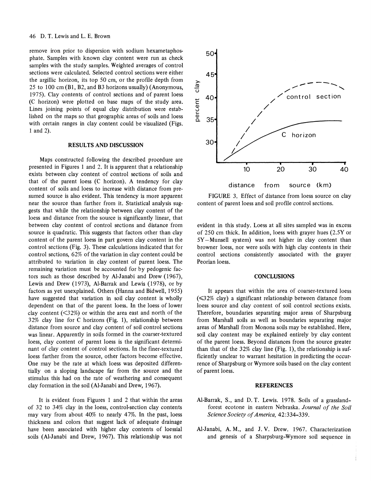#### 46 D. T. Lewis and L. E. Brown

remove iron prior to dispersion with sodium hexametaphosphate. Samples with known clay content were run as check samples with the study samples. Weighted averages of control sections were calculated. Selected control sections were either the argillic horizon, its top 50 cm, or the proflie depth from 25 to 100 cm (Bl, B2, and B3 horizons usually) (Anonymous, 1975). Clay contents of control sections and of parent loess (C horizon) were plotted on base maps of the study area. Lines joining points of equal clay distribution were established on the maps so that geographic areas of soils and 10ess with certain ranges in clay content could be visualized (Figs. 1 and 2).

#### RESULTS AND DISCUSSION

Maps constructed following the described procedure are presented in Figures 1 and 2. It is apparent that a relationship exists between clay content of control sections of soils and that of the parent loess (C horizon). A tendency for clay content of soils and loess to increase with distance from presumed source is also evident. This tendency is more apparent near the source than farther from it. Statistical analysis suggests that while the relationship between clay content of the loess and distance from the source is significantly linear, that between clay content of control sections and distance from source is quadratic. This suggests that factors other than clay content of the parent loess in part govern clay content in the control sections (Fig. 3). These calculations indicated that for control sections, 62% of the variation in clay content could be attributed to variation in clay content of parent loess. The remaining variation must be accounted for by pedogenic factors such as those described by Al-Janabi and Drew (1967), Lewis and Drew (1973), Al-Barrak and Lewis (1978), or by factors as yet unexplained. Others (Hanna and Bidwell, 1955) have suggested that variation in soil clay content is wholly dependent on that of the parent loess. In the loess of lower clay content  $(\leq 32\%)$  or within the area east and north of the 32% clay line for C horizons (Fig. 1), relationship between distance from source and clay content of soil control sections was linear. Apparently in soils formed in the coarser-textured loess, clay content of parent loess is the significant determinant of clay content of control sections. In the finer-textured loess farther from the source, other factors become effective. One may be the rate at which loess was deposited differentially on a sloping landscape far from the source and the stimulus this had on the rate of weathering and consequent clay formation in the soil (AI-Janabi and Drew, 1967).

It is evident from Figures 1 and 2 that within the areas of 32 to 34% clay in the loess, control-section clay contents may vary from about 40% to nearly 47%. In the past, loess thickness and colors that suggest lack of adequate drainage have been associated with higher clay contents of loessial soils (AI-Janabi and Drew, 1967). This relationship was not



FIGURE 3. Effect of distance from loess source on clay content of parent loess and soil proflie control sections.

evident in this study. Loess at all sites sampled was in excess of 250 cm thick. In addition, loess with grayer hues (2.5Y or 5Y-Munsell system) was not higher in clay content than browner loess, nor were soils with high clay contents in their control sections consistently associated with the grayer Peorian loess.

#### **CONCLUSIONS**

It appears that within the area of coarser-textured loess  $(\leq 32\%$  clay) a significant relationship between distance from loess source and clay content of soil control sections exists. Therefore, boundaries separating major areas of Sharpsburg from Marshall soils as well as boundaries separating major areas of Marshall from Monona soils may be established. Here, soil clay content may be explained entirely by clay content of the parent loess. Beyond distances from the source greater than that of the 32% clay line (Fig. 1), the relationship is sufficiently unclear to warrant hesitation in predicting the occurrence of Sharpsburg or Wymore soils based on the clay content of parent loess.

#### **REFERENCES**

- AI-Barrak, S., and D. T. Lewis. 1978. Soils of a grasslandforest ecotone in eastern Nebraska. *Journal of the Soil Science Society of America, 42:334-339.*
- AI-Janabi, A. M., and J. V. Drew. 1967. Characterization and genesis of a Sharpsburg-Wymore soil sequence in